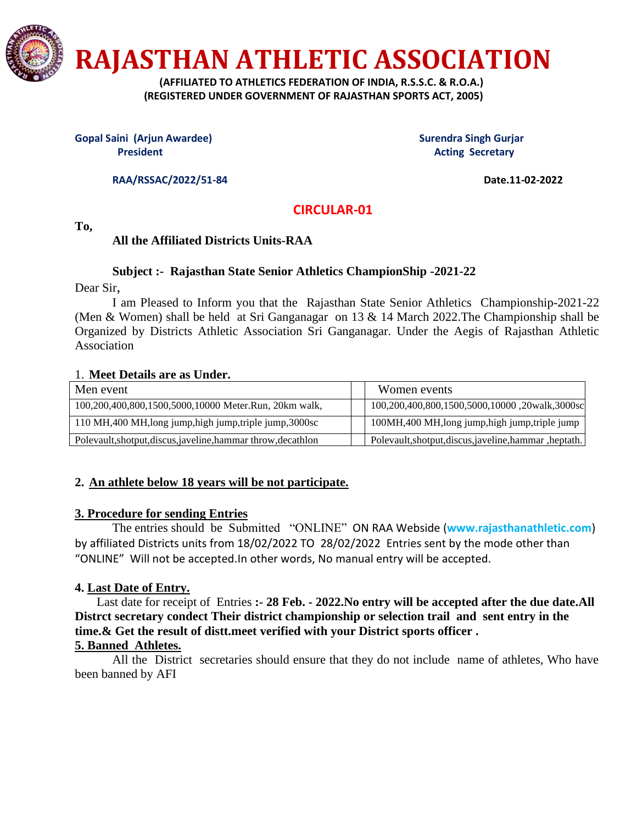

**RAJASTHAN ATHLETIC ASSOCIATION**

 **(AFFILIATED TO ATHLETICS FEDERATION OF INDIA, R.S.S.C. & R.O.A.) (REGISTERED UNDER GOVERNMENT OF RAJASTHAN SPORTS ACT, 2005)**

**Gopal Saini (Arjun Awardee)** Surendra Singh Gurjar

**President Acting Secretary Acting Secretary** 

**RAA/RSSAC/2022/51-84 Date.11-02-2022** 

 **CIRCULAR-01**

**To,**

# **All the Affiliated Districts Units-RAA**

### **Subject :- Rajasthan State Senior Athletics ChampionShip -2021-22**

Dear Sir,

I am Pleased to Inform you that the Rajasthan State Senior Athletics Championship-2021-22 (Men & Women) shall be held at Sri Ganganagar on 13 & 14 March 2022.The Championship shall be Organized by Districts Athletic Association Sri Ganganagar. Under the Aegis of Rajasthan Athletic Association

## 1. **Meet Details are as Under.**

| Men event                                                     | Women events                                           |
|---------------------------------------------------------------|--------------------------------------------------------|
| 100,200,400,800,1500,5000,10000 Meter.Run, 20km walk,         | 100,200,400,800,1500,5000,10000,20walk,3000sc          |
| 110 MH, 400 MH, long jump, high jump, triple jump, 3000sc     | 100MH,400 MH,long jump,high jump,triple jump           |
| Polevault, shotput, discus, javeline, hammar throw, decathlon | Polevault, shotput, discus, javeline, hammar, heptath. |

## **2. An athlete below 18 years will be not participate.**

### **3. Procedure for sending Entries**

The entries should be Submitted "ONLINE" ON RAA Webside (**www.rajasthanathletic.com**) by affiliated Districts units from 18/02/2022 TO 28/02/2022 Entries sent by the mode other than "ONLINE" Will not be accepted.In other words, No manual entry will be accepted.

## **4. Last Date of Entry.**

 Last date for receipt of Entries **:- 28 Feb. - 2022.No entry will be accepted after the due date.All Distrct secretary condect Their district championship or selection trail and sent entry in the time.& Get the result of distt.meet verified with your District sports officer .**

## **5. Banned Athletes.**

All the District secretaries should ensure that they do not include name of athletes, Who have been banned by AFI